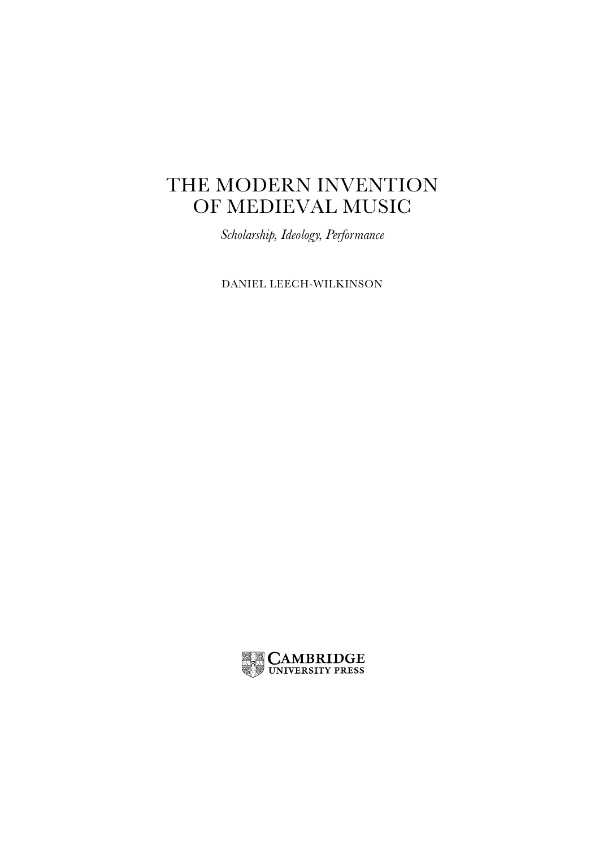# THE MODERN INVENTION OF MEDIEVAL MUSIC

*Scholarship, Ideology, Performance*

DANIEL LEECH-WILKINSON

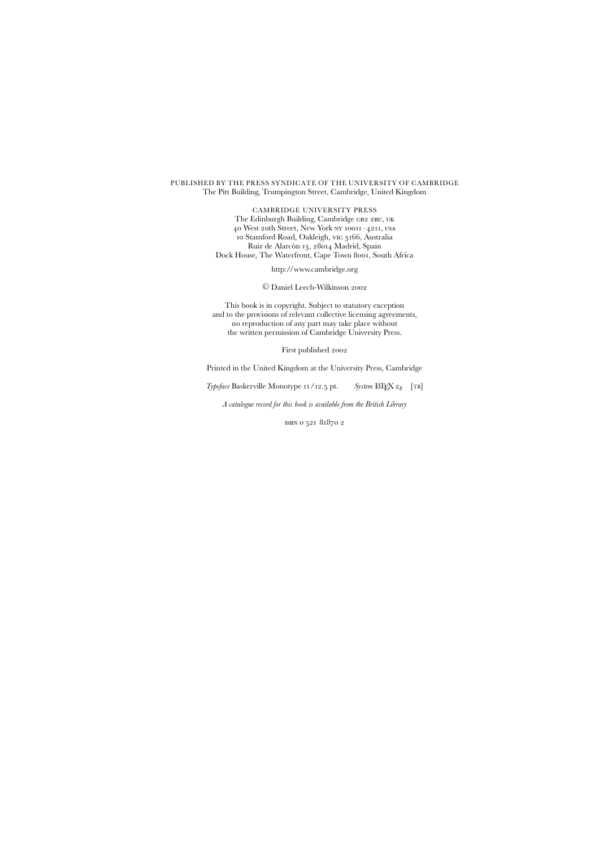#### PUBLISHED BY THE PRESS SYNDICATE OF THE UNIVERSITY OF CAMBRIDGE The Pitt Building, Trumpington Street, Cambridge, United Kingdom

CAMBRIDGE UNIVERSITY PRESS The Edinburgh Building, Cambridge CB2 2RU, UK 40 West 20th Street, New York NY 10011-4211, USA 10 Stamford Road, Oakleigh, vic 3166, Australia Ruiz de Alarcón 13, 28014 Madrid, Spain Dock House, The Waterfront, Cape Town 8001, South Africa

http://www.cambridge.org

<sup>C</sup> Daniel Leech-Wilkinson

This book is in copyright. Subject to statutory exception and to the provisions of relevant collective licensing agreements, no reproduction of any part may take place without the written permission of Cambridge University Press.

First published 2002

Printed in the United Kingdom at the University Press, Cambridge

*Typeface* Baskerville Monotype 11/12.5 pt. *System* LATEX 2<sub>ε</sub> [TB]

*A catalogue record for this book is available from the British Library*

ISBN 0 521 81870 2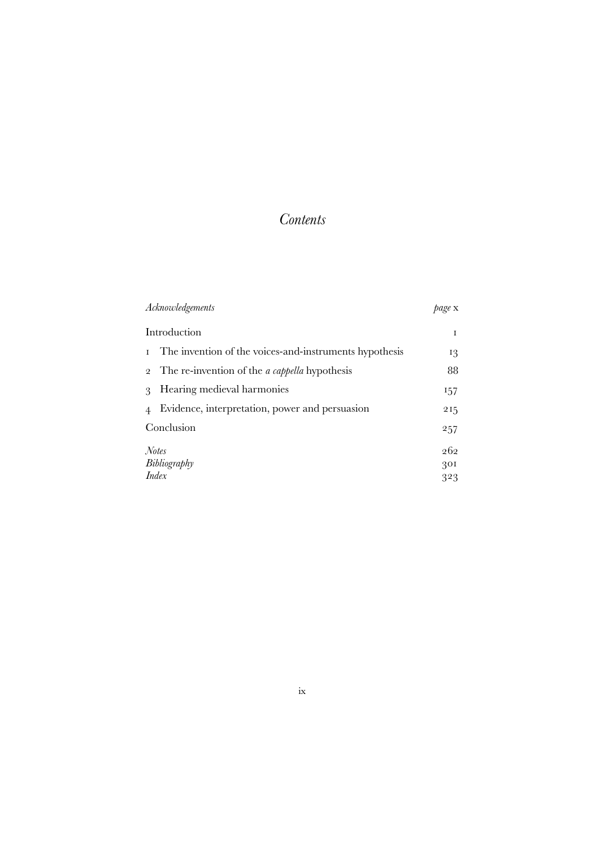## *Contents*

| Acknowledgements                                                      | page x |
|-----------------------------------------------------------------------|--------|
| Introduction                                                          | T      |
| The invention of the voices-and-instruments hypothesis<br>$\mathbf I$ | 13     |
| 2 The re-invention of the <i>a cappella</i> hypothesis                | 88     |
| Hearing medieval harmonies<br>$\mathcal{L}$                           | 157    |
| Evidence, interpretation, power and persuasion<br>$\overline{4}$      | 215    |
| Conclusion                                                            | 257    |
| Notes.                                                                | 262    |
| Bibliography                                                          | 30I    |
| <b>Index</b>                                                          | 323    |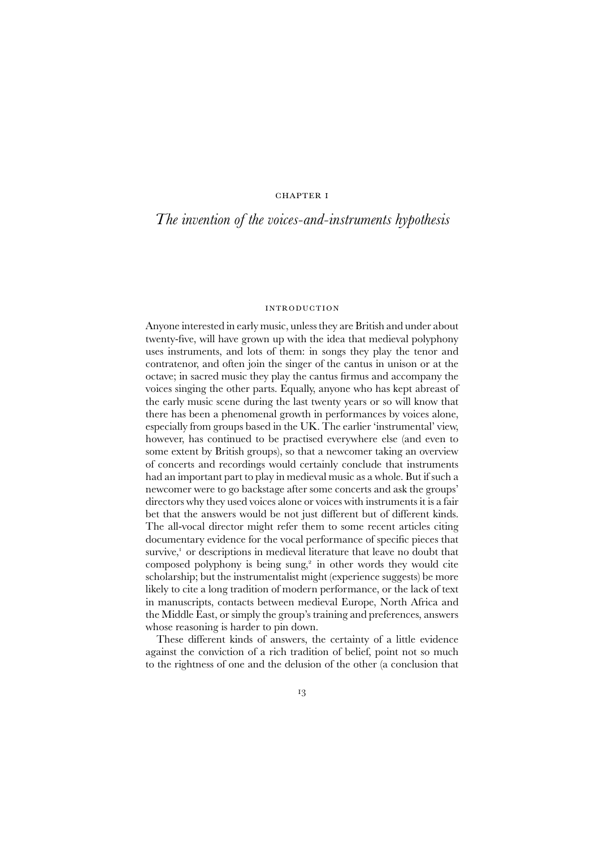#### **CHAPTER I**

### *The invention of the voices-and-instruments hypothesis*

#### **INTRODUCTION**

Anyone interested in early music, unless they are British and under about twenty-five, will have grown up with the idea that medieval polyphony uses instruments, and lots of them: in songs they play the tenor and contratenor, and often join the singer of the cantus in unison or at the octave; in sacred music they play the cantus firmus and accompany the voices singing the other parts. Equally, anyone who has kept abreast of the early music scene during the last twenty years or so will know that there has been a phenomenal growth in performances by voices alone, especially from groups based in the UK. The earlier 'instrumental' view, however, has continued to be practised everywhere else (and even to some extent by British groups), so that a newcomer taking an overview of concerts and recordings would certainly conclude that instruments had an important part to play in medieval music as a whole. But if such a newcomer were to go backstage after some concerts and ask the groups' directors why they used voices alone or voices with instruments it is a fair bet that the answers would be not just different but of different kinds. The all-vocal director might refer them to some recent articles citing documentary evidence for the vocal performance of specific pieces that survive, $\alpha$  or descriptions in medieval literature that leave no doubt that composed polyphony is being sung, $\epsilon$  in other words they would cite scholarship; but the instrumentalist might (experience suggests) be more likely to cite a long tradition of modern performance, or the lack of text in manuscripts, contacts between medieval Europe, North Africa and the Middle East, or simply the group's training and preferences, answers whose reasoning is harder to pin down.

These different kinds of answers, the certainty of a little evidence against the conviction of a rich tradition of belief, point not so much to the rightness of one and the delusion of the other (a conclusion that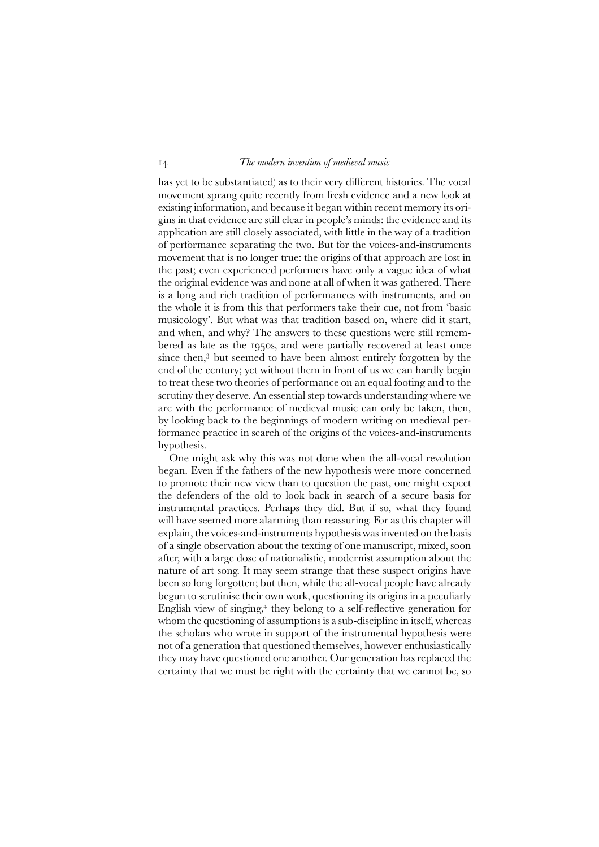has yet to be substantiated) as to their very different histories. The vocal movement sprang quite recently from fresh evidence and a new look at existing information, and because it began within recent memory its origins in that evidence are still clear in people's minds: the evidence and its application are still closely associated, with little in the way of a tradition of performance separating the two. But for the voices-and-instruments movement that is no longer true: the origins of that approach are lost in the past; even experienced performers have only a vague idea of what the original evidence was and none at all of when it was gathered. There is a long and rich tradition of performances with instruments, and on the whole it is from this that performers take their cue, not from 'basic musicology'. But what was that tradition based on, where did it start, and when, and why? The answers to these questions were still remembered as late as the 1950s, and were partially recovered at least once since then,<sup>3</sup> but seemed to have been almost entirely forgotten by the end of the century; yet without them in front of us we can hardly begin to treat these two theories of performance on an equal footing and to the scrutiny they deserve. An essential step towards understanding where we are with the performance of medieval music can only be taken, then, by looking back to the beginnings of modern writing on medieval performance practice in search of the origins of the voices-and-instruments hypothesis.

One might ask why this was not done when the all-vocal revolution began. Even if the fathers of the new hypothesis were more concerned to promote their new view than to question the past, one might expect the defenders of the old to look back in search of a secure basis for instrumental practices. Perhaps they did. But if so, what they found will have seemed more alarming than reassuring. For as this chapter will explain, the voices-and-instruments hypothesis was invented on the basis of a single observation about the texting of one manuscript, mixed, soon after, with a large dose of nationalistic, modernist assumption about the nature of art song. It may seem strange that these suspect origins have been so long forgotten; but then, while the all-vocal people have already begun to scrutinise their own work, questioning its origins in a peculiarly English view of singing, $4$  they belong to a self-reflective generation for whom the questioning of assumptions is a sub-discipline in itself, whereas the scholars who wrote in support of the instrumental hypothesis were not of a generation that questioned themselves, however enthusiastically they may have questioned one another. Our generation has replaced the certainty that we must be right with the certainty that we cannot be, so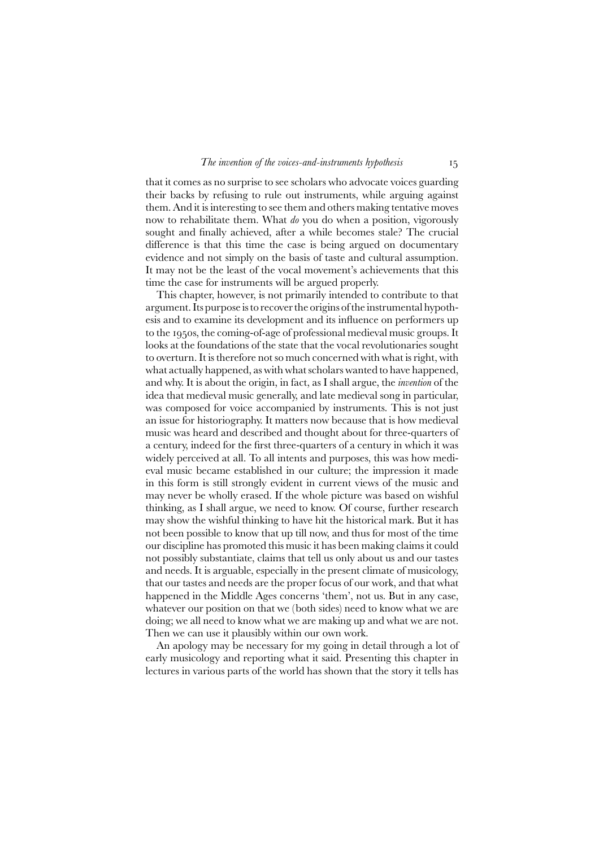that it comes as no surprise to see scholars who advocate voices guarding their backs by refusing to rule out instruments, while arguing against them. And it is interesting to see them and others making tentative moves now to rehabilitate them. What *do* you do when a position, vigorously sought and finally achieved, after a while becomes stale? The crucial difference is that this time the case is being argued on documentary evidence and not simply on the basis of taste and cultural assumption. It may not be the least of the vocal movement's achievements that this time the case for instruments will be argued properly.

This chapter, however, is not primarily intended to contribute to that argument. Its purpose isto recoverthe origins ofthe instrumental hypothesis and to examine its development and its influence on performers up to the 1950s, the coming-of-age of professional medieval music groups. It looks at the foundations of the state that the vocal revolutionaries sought to overturn. It is therefore not so much concerned with what is right, with what actually happened, as with what scholars wanted to have happened, and why. It is about the origin, in fact, as I shall argue, the *invention* of the idea that medieval music generally, and late medieval song in particular, was composed for voice accompanied by instruments. This is not just an issue for historiography. It matters now because that is how medieval music was heard and described and thought about for three-quarters of a century, indeed for the first three-quarters of a century in which it was widely perceived at all. To all intents and purposes, this was how medieval music became established in our culture; the impression it made in this form is still strongly evident in current views of the music and may never be wholly erased. If the whole picture was based on wishful thinking, as I shall argue, we need to know. Of course, further research may show the wishful thinking to have hit the historical mark. But it has not been possible to know that up till now, and thus for most of the time our discipline has promoted this music it has been making claims it could not possibly substantiate, claims that tell us only about us and our tastes and needs. It is arguable, especially in the present climate of musicology, that our tastes and needs are the proper focus of our work, and that what happened in the Middle Ages concerns 'them', not us. But in any case, whatever our position on that we (both sides) need to know what we are doing; we all need to know what we are making up and what we are not. Then we can use it plausibly within our own work.

An apology may be necessary for my going in detail through a lot of early musicology and reporting what it said. Presenting this chapter in lectures in various parts of the world has shown that the story it tells has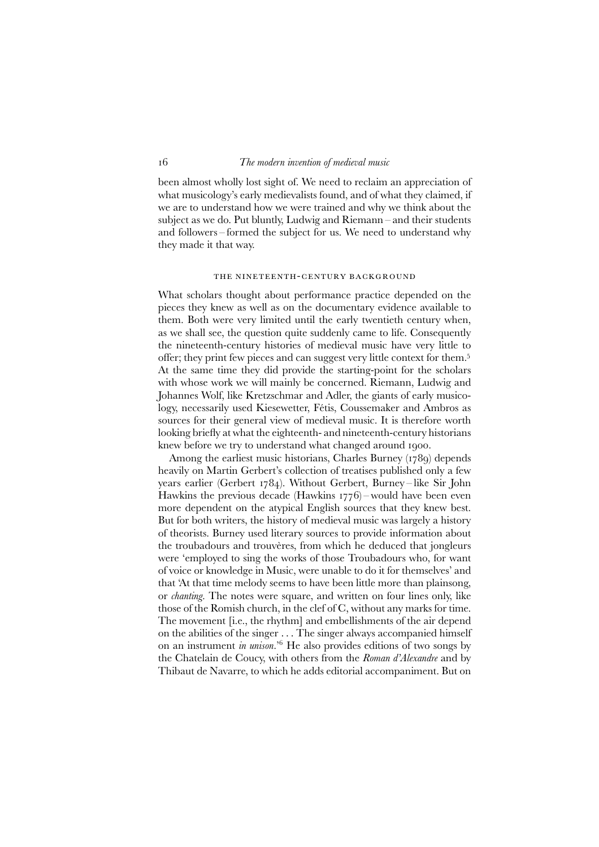been almost wholly lost sight of. We need to reclaim an appreciation of what musicology's early medievalists found, and of what they claimed, if we are to understand how we were trained and why we think about the subject as we do. Put bluntly, Ludwig and Riemann – and their students and followers – formed the subject for us. We need to understand why they made it that way.

#### THE NINETEENTH-CENTURY BACKGROUND

What scholars thought about performance practice depended on the pieces they knew as well as on the documentary evidence available to them. Both were very limited until the early twentieth century when, as we shall see, the question quite suddenly came to life. Consequently the nineteenth-century histories of medieval music have very little to offer; they print few pieces and can suggest very little context for them. At the same time they did provide the starting-point for the scholars with whose work we will mainly be concerned. Riemann, Ludwig and Johannes Wolf, like Kretzschmar and Adler, the giants of early musicology, necessarily used Kiesewetter, Fétis, Coussemaker and Ambros as sources for their general view of medieval music. It is therefore worth looking briefly at what the eighteenth- and nineteenth-century historians knew before we try to understand what changed around 1900.

Among the earliest music historians, Charles Burney (1789) depends heavily on Martin Gerbert's collection of treatises published only a few years earlier (Gerbert 1784). Without Gerbert, Burney-like Sir John Hawkins the previous decade (Hawkins  $1776$ ) – would have been even more dependent on the atypical English sources that they knew best. But for both writers, the history of medieval music was largely a history of theorists. Burney used literary sources to provide information about the troubadours and trouvères, from which he deduced that jongleurs were 'employed to sing the works of those Troubadours who, for want of voice or knowledge in Music, were unable to do it for themselves' and that 'At that time melody seems to have been little more than plainsong, or *chanting*. The notes were square, and written on four lines only, like those of the Romish church, in the clef of C, without any marks for time. The movement [i.e., the rhythm] and embellishments of the air depend on the abilities of the singer ... The singer always accompanied himself on an instrument *in unison*.<sup>'6</sup> He also provides editions of two songs by the Chatelain de Coucy, with others from the *Roman d'Alexandre* and by Thibaut de Navarre, to which he adds editorial accompaniment. But on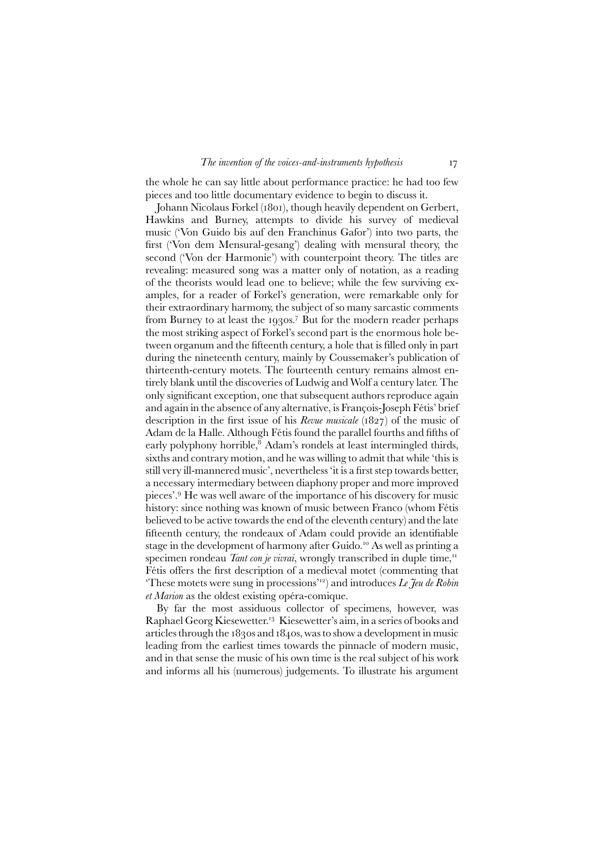the whole he can say little about performance practice: he had too few pieces and too little documentary evidence to begin to discuss it.

Johann Nicolaus Forkel (1801), though heavily dependent on Gerbert, Hawkins and Burney, attempts to divide his survey of medieval music ('Von Guido bis auf den Franchinus Gafor') into two parts, the first ('Von dem Mensural-gesang') dealing with mensural theory, the second ('Von der Harmonie') with counterpoint theory. The titles are revealing: measured song was a matter only of notation, as a reading of the theorists would lead one to believe; while the few surviving examples, for a reader of Forkel's generation, were remarkable only for their extraordinary harmony, the subject of so many sarcastic comments from Burney to at least the  $1930s$ .<sup>7</sup> But for the modern reader perhaps the most striking aspect of Forkel's second part is the enormous hole between organum and the fifteenth century, a hole that is filled only in part during the nineteenth century, mainly by Coussemaker's publication of thirteenth-century motets. The fourteenth century remains almost entirely blank until the discoveries of Ludwig and Wolf a century later. The only significant exception, one that subsequent authors reproduce again and again in the absence of any alternative, is François-Joseph Fétis' brief description in the first issue of his *Revue musicale* (1827) of the music of Adam de la Halle. Although Fétis found the parallel fourths and fifths of early polyphony horrible,<sup>8</sup> Adam's rondels at least intermingled thirds, sixths and contrary motion, and he was willing to admit that while 'this is still very ill-mannered music', nevertheless 'it is a first step towards better, a necessary intermediary between diaphony proper and more improved pieces'.<sup>9</sup> He was well aware of the importance of his discovery for music history: since nothing was known of music between Franco (whom Fétis believed to be active towards the end of the eleventh century) and the late fifteenth century, the rondeaux of Adam could provide an identifiable stage in the development of harmony after Guido.<sup>10</sup> As well as printing a specimen rondeau *Tant con je vivrai*, wrongly transcribed in duple time,<sup>11</sup> Fétis offers the first description of a medieval motet (commenting that These motets were sung in processions<sup> $n_2$ </sup>) and introduces *Le Jeu de Robin et Marion* as the oldest existing opéra-comique.

By far the most assiduous collector of specimens, however, was Raphael Georg Kiesewetter.<sup>13</sup> Kiesewetter's aim, in a series of books and articles through the 1830s and 1840s, was to show a development in music leading from the earliest times towards the pinnacle of modern music, and in that sense the music of his own time is the real subject of his work and informs all his (numerous) judgements. To illustrate his argument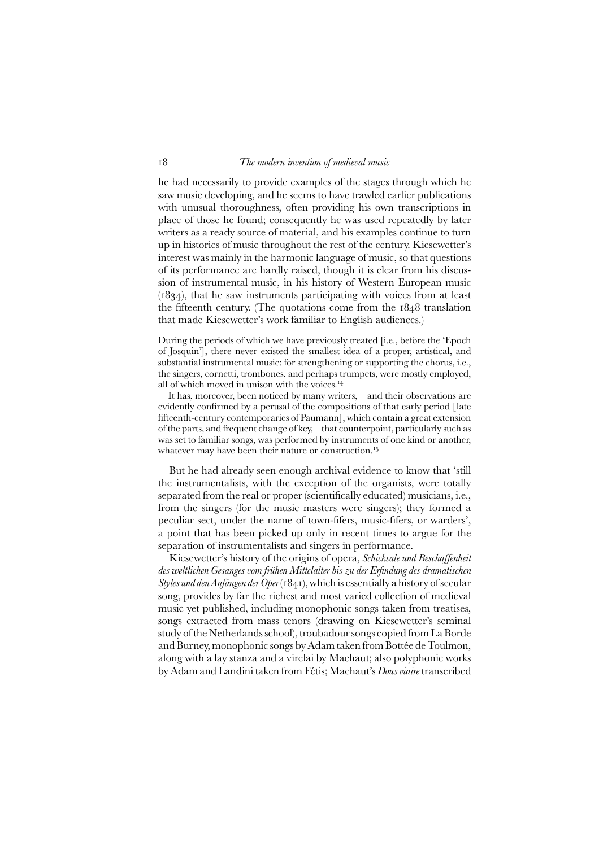he had necessarily to provide examples of the stages through which he saw music developing, and he seems to have trawled earlier publications with unusual thoroughness, often providing his own transcriptions in place of those he found; consequently he was used repeatedly by later writers as a ready source of material, and his examples continue to turn up in histories of music throughout the rest of the century. Kiesewetter's interest was mainly in the harmonic language of music, so that questions of its performance are hardly raised, though it is clear from his discussion of instrumental music, in his history of Western European music  $(1834)$ , that he saw instruments participating with voices from at least the fifteenth century. (The quotations come from the  $1848$  translation that made Kiesewetter's work familiar to English audiences.)

During the periods of which we have previously treated [i.e., before the 'Epoch of Josquin'], there never existed the smallest idea of a proper, artistical, and substantial instrumental music: for strengthening or supporting the chorus, i.e., the singers, cornetti, trombones, and perhaps trumpets, were mostly employed, all of which moved in unison with the voices.

It has, moreover, been noticed by many writers, – and their observations are evidently confirmed by a perusal of the compositions of that early period [late fifteenth-century contemporaries of Paumann], which contain a great extension of the parts, and frequent change of key, – that counterpoint, particularly such as was set to familiar songs, was performed by instruments of one kind or another, whatever may have been their nature or construction.<sup>15</sup>

But he had already seen enough archival evidence to know that 'still the instrumentalists, with the exception of the organists, were totally separated from the real or proper (scientifically educated) musicians, i.e., from the singers (for the music masters were singers); they formed a peculiar sect, under the name of town-fifers, music-fifers, or warders', a point that has been picked up only in recent times to argue for the separation of instrumentalists and singers in performance.

Kiesewetter's history of the origins of opera, *Schicksale und Beschaffenheit* des weltlichen Gesanges vom frühen Mittelalter bis zu der Erfindung des dramatischen *Styles und den Anfängen der Oper* (1841), which is essentially a history of secular song, provides by far the richest and most varied collection of medieval music yet published, including monophonic songs taken from treatises, songs extracted from mass tenors (drawing on Kiesewetter's seminal study of the Netherlands school), troubadour songs copied from La Borde and Burney, monophonic songs by Adam taken from Bottée de Toulmon, along with a lay stanza and a virelai by Machaut; also polyphonic works by Adam and Landini taken from F´etis; Machaut's *Dous viaire* transcribed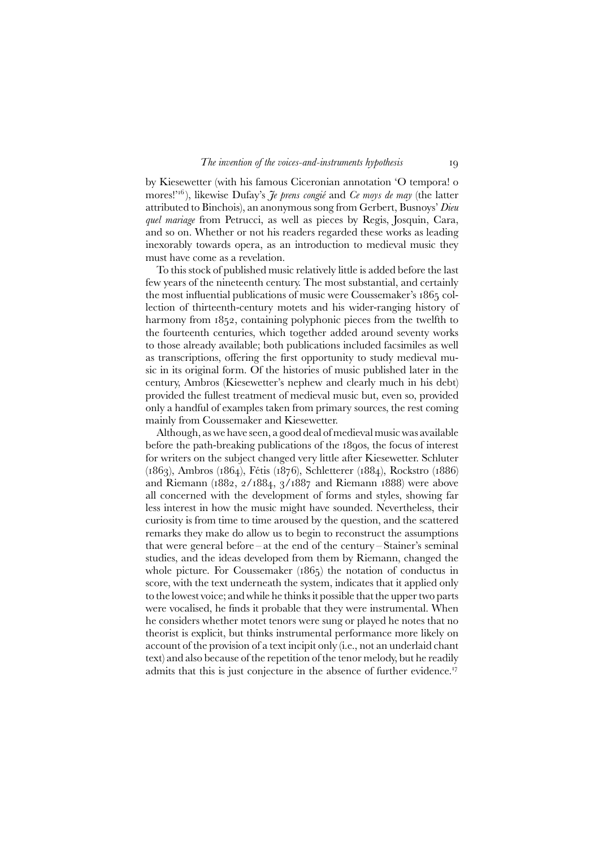by Kiesewetter (with his famous Ciceronian annotation 'O tempora! o mores!<sup>'16</sup>), likewise Dufay's *Je prens congié* and *Ce moys de may* (the latter attributed to Binchois), an anonymous song from Gerbert, Busnoys' *Dieu quel mariage* from Petrucci, as well as pieces by Regis, Josquin, Cara, and so on. Whether or not his readers regarded these works as leading inexorably towards opera, as an introduction to medieval music they must have come as a revelation.

To this stock of published music relatively little is added before the last few years of the nineteenth century. The most substantial, and certainly the most influential publications of music were Coussemaker's 1865 collection of thirteenth-century motets and his wider-ranging history of harmony from 1852, containing polyphonic pieces from the twelfth to the fourteenth centuries, which together added around seventy works to those already available; both publications included facsimiles as well as transcriptions, offering the first opportunity to study medieval music in its original form. Of the histories of music published later in the century, Ambros (Kiesewetter's nephew and clearly much in his debt) provided the fullest treatment of medieval music but, even so, provided only a handful of examples taken from primary sources, the rest coming mainly from Coussemaker and Kiesewetter.

Although, as we have seen, a good deal of medieval music was available before the path-breaking publications of the 1890s, the focus of interest for writers on the subject changed very little after Kiesewetter. Schluter (1863), Ambros (1864), Fétis (1876), Schletterer (1884), Rockstro (1886) and Riemann ( $1882, 2/1884, 3/1887$  and Riemann  $1888$ ) were above all concerned with the development of forms and styles, showing far less interest in how the music might have sounded. Nevertheless, their curiosity is from time to time aroused by the question, and the scattered remarks they make do allow us to begin to reconstruct the assumptions that were general before – at the end of the century – Stainer's seminal studies, and the ideas developed from them by Riemann, changed the whole picture. For Coussemaker  $(1865)$  the notation of conductus in score, with the text underneath the system, indicates that it applied only to the lowest voice; and while he thinks it possible that the upper two parts were vocalised, he finds it probable that they were instrumental. When he considers whether motet tenors were sung or played he notes that no theorist is explicit, but thinks instrumental performance more likely on account of the provision of a text incipit only (i.e., not an underlaid chant text) and also because of the repetition of the tenor melody, but he readily admits that this is just conjecture in the absence of further evidence.<sup>17</sup>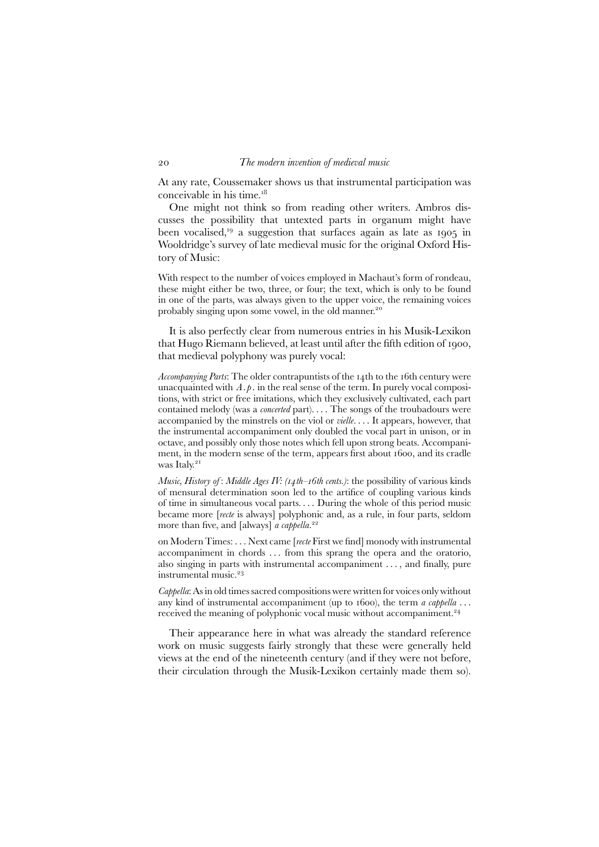At any rate, Coussemaker shows us that instrumental participation was conceivable in his time.

One might not think so from reading other writers. Ambros discusses the possibility that untexted parts in organum might have been vocalised,<sup>19</sup> a suggestion that surfaces again as late as  $1905$  in Wooldridge's survey of late medieval music for the original Oxford History of Music:

With respect to the number of voices employed in Machaut's form of rondeau, these might either be two, three, or four; the text, which is only to be found in one of the parts, was always given to the upper voice, the remaining voices probably singing upon some vowel, in the old manner.

It is also perfectly clear from numerous entries in his Musik-Lexikon that Hugo Riemann believed, at least until after the fifth edition of 1900, that medieval polyphony was purely vocal:

*Accompanying Parts*: The older contrapuntists of the 14th to the 16th century were unacquainted with  $A \cdot \rho$ , in the real sense of the term. In purely vocal compositions, with strict or free imitations, which they exclusively cultivated, each part contained melody (was a *concerted* part). ... The songs of the troubadours were accompanied by the minstrels on the viol or *vielle*. ... It appears, however, that the instrumental accompaniment only doubled the vocal part in unison, or in octave, and possibly only those notes which fell upon strong beats. Accompaniment, in the modern sense of the term, appears first about 1600, and its cradle was Italy.<sup>21</sup>

*Music, History of* : *Middle Ages IV: (th–th cents.)*: the possibility of various kinds of mensural determination soon led to the artifice of coupling various kinds of time in simultaneous vocal parts. ... During the whole of this period music became more [*recte* is always] polyphonic and, as a rule, in four parts, seldom more than five, and [always] *a cappella*.

on Modern Times: ... Next came [*recte* First we find] monody with instrumental accompaniment in chords ... from this sprang the opera and the oratorio, also singing in parts with instrumental accompaniment ... , and finally, pure instrumental music.

*Cappella*: As in old times sacred compositions were written for voices only without any kind of instrumental accompaniment (up to 1600), the term *a cappella* ... received the meaning of polyphonic vocal music without accompaniment.<sup>24</sup>

Their appearance here in what was already the standard reference work on music suggests fairly strongly that these were generally held views at the end of the nineteenth century (and if they were not before, their circulation through the Musik-Lexikon certainly made them so).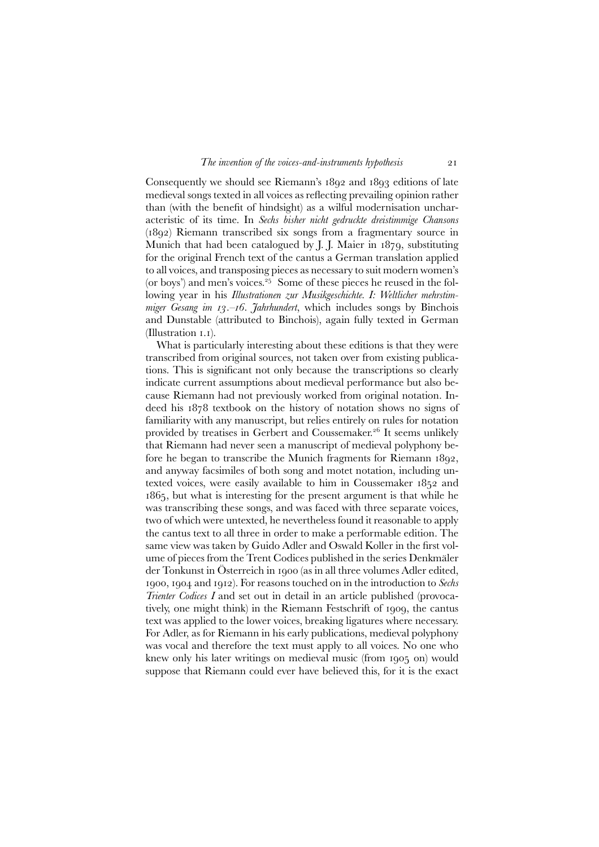Consequently we should see Riemann's  $18q2$  and  $18q3$  editions of late medieval songs texted in all voices as reflecting prevailing opinion rather than (with the benefit of hindsight) as a wilful modernisation uncharacteristic of its time. In *Sechs bisher nicht gedruckte dreistimmige Chansons*  $(1892)$  Riemann transcribed six songs from a fragmentary source in Munich that had been catalogued by  $J$ .  $J$ . Maier in  $1879$ , substituting for the original French text of the cantus a German translation applied to all voices, and transposing pieces as necessary to suit modern women's (or boys') and men's voices.<sup>25</sup> Some of these pieces he reused in the following year in his *Illustrationen zur Musikgeschichte. I: Weltlicher mehrstimmiger Gesang im 13.–16. Jahrhundert*, which includes songs by Binchois and Dunstable (attributed to Binchois), again fully texted in German (Illustration  $I.I$ ).

What is particularly interesting about these editions is that they were transcribed from original sources, not taken over from existing publications. This is significant not only because the transcriptions so clearly indicate current assumptions about medieval performance but also because Riemann had not previously worked from original notation. Indeed his  $1878$  textbook on the history of notation shows no signs of familiarity with any manuscript, but relies entirely on rules for notation provided by treatises in Gerbert and Coussemaker.<sup>26</sup> It seems unlikely that Riemann had never seen a manuscript of medieval polyphony before he began to transcribe the Munich fragments for Riemann 1892, and anyway facsimiles of both song and motet notation, including untexted voices, were easily available to him in Coussemaker  $1852$  and 1865, but what is interesting for the present argument is that while he was transcribing these songs, and was faced with three separate voices, two of which were untexted, he nevertheless found it reasonable to apply the cantus text to all three in order to make a performable edition. The same view was taken by Guido Adler and Oswald Koller in the first volume of pieces from the Trent Codices published in the series Denkmäler der Tonkunst in Osterreich in 1900 (as in all three volumes Adler edited, 1900, 1904 and 1912). For reasons touched on in the introduction to *Sechs Trienter Codices I* and set out in detail in an article published (provocatively, one might think) in the Riemann Festschrift of 1909, the cantus text was applied to the lower voices, breaking ligatures where necessary. For Adler, as for Riemann in his early publications, medieval polyphony was vocal and therefore the text must apply to all voices. No one who knew only his later writings on medieval music (from 1905 on) would suppose that Riemann could ever have believed this, for it is the exact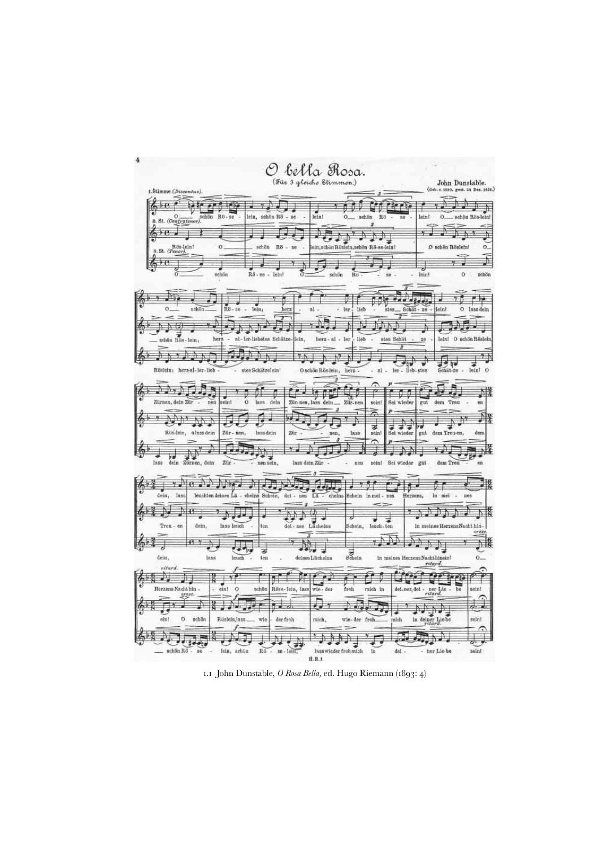

1.1 John Dunstable, *O Rosa Bella*, ed. Hugo Riemann (1893: 4)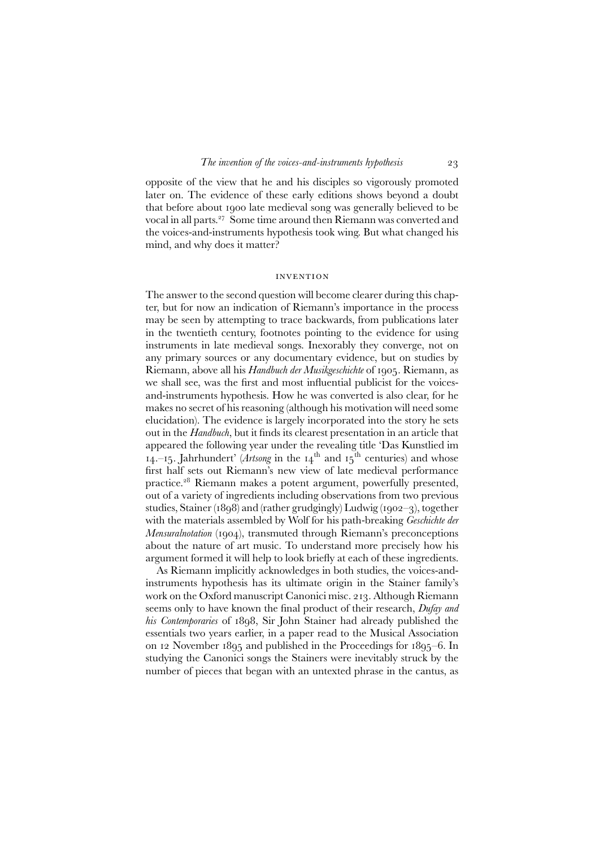opposite of the view that he and his disciples so vigorously promoted later on. The evidence of these early editions shows beyond a doubt that before about 1900 late medieval song was generally believed to be vocal in all parts.<sup>27</sup> Some time around then Riemann was converted and the voices-and-instruments hypothesis took wing. But what changed his mind, and why does it matter?

#### **INVENTION**

The answer to the second question will become clearer during this chapter, but for now an indication of Riemann's importance in the process may be seen by attempting to trace backwards, from publications later in the twentieth century, footnotes pointing to the evidence for using instruments in late medieval songs. Inexorably they converge, not on any primary sources or any documentary evidence, but on studies by Riemann, above all his *Handbuch der Musikgeschichte* of 1905. Riemann, as we shall see, was the first and most influential publicist for the voicesand-instruments hypothesis. How he was converted is also clear, for he makes no secret of his reasoning (although his motivation will need some elucidation). The evidence is largely incorporated into the story he sets out in the *Handbuch*, but it finds its clearest presentation in an article that appeared the following year under the revealing title 'Das Kunstlied im 14.–15. Jahrhundert' (*Artsong* in the 14<sup>th</sup> and 15<sup>th</sup> centuries) and whose first half sets out Riemann's new view of late medieval performance practice.<sup>28</sup> Riemann makes a potent argument, powerfully presented, out of a variety of ingredients including observations from two previous studies, Stainer ( $1898$ ) and (rather grudgingly) Ludwig ( $1902-3$ ), together with the materials assembled by Wolf for his path-breaking *Geschichte der Mensuralnotation* (1904), transmuted through Riemann's preconceptions about the nature of art music. To understand more precisely how his argument formed it will help to look briefly at each of these ingredients.

As Riemann implicitly acknowledges in both studies, the voices-andinstruments hypothesis has its ultimate origin in the Stainer family's work on the Oxford manuscript Canonici misc. 213. Although Riemann seems only to have known the final product of their research, *Dufay and* his Contemporaries of 1898, Sir John Stainer had already published the essentials two years earlier, in a paper read to the Musical Association on  $12$  November  $1895$  and published in the Proceedings for  $1895-6$ . In studying the Canonici songs the Stainers were inevitably struck by the number of pieces that began with an untexted phrase in the cantus, as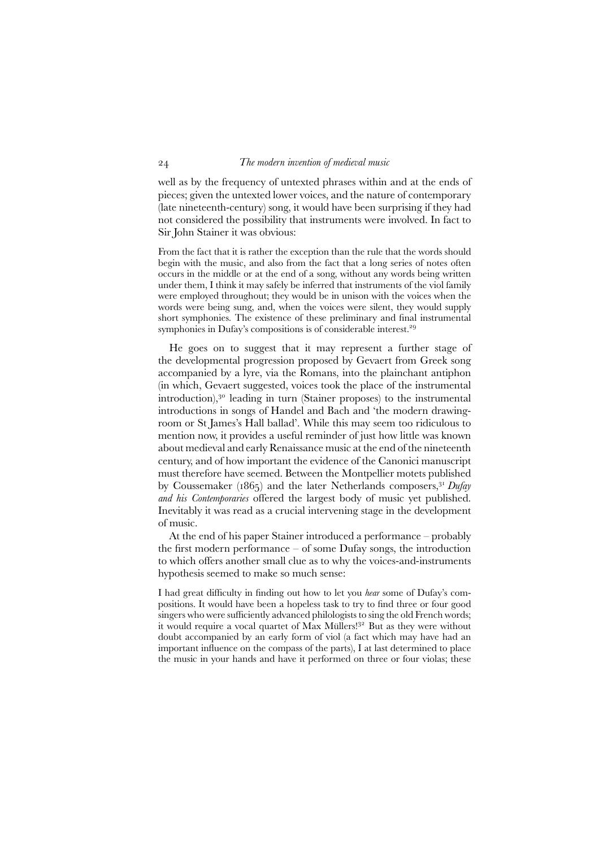well as by the frequency of untexted phrases within and at the ends of pieces; given the untexted lower voices, and the nature of contemporary (late nineteenth-century) song, it would have been surprising if they had not considered the possibility that instruments were involved. In fact to Sir John Stainer it was obvious:

From the fact that it is rather the exception than the rule that the words should begin with the music, and also from the fact that a long series of notes often occurs in the middle or at the end of a song, without any words being written under them, I think it may safely be inferred that instruments of the viol family were employed throughout; they would be in unison with the voices when the words were being sung, and, when the voices were silent, they would supply short symphonies. The existence of these preliminary and final instrumental symphonies in Dufay's compositions is of considerable interest.<sup>29</sup>

He goes on to suggest that it may represent a further stage of the developmental progression proposed by Gevaert from Greek song accompanied by a lyre, via the Romans, into the plainchant antiphon (in which, Gevaert suggested, voices took the place of the instrumental introduction), $30$  leading in turn (Stainer proposes) to the instrumental introductions in songs of Handel and Bach and 'the modern drawingroom or St James's Hall ballad'. While this may seem too ridiculous to mention now, it provides a useful reminder of just how little was known about medieval and early Renaissance music at the end of the nineteenth century, and of how important the evidence of the Canonici manuscript must therefore have seemed. Between the Montpellier motets published by Coussemaker (1865) and the later Netherlands composers,<sup>31</sup> Dufay *and his Contemporaries* offered the largest body of music yet published. Inevitably it was read as a crucial intervening stage in the development of music.

At the end of his paper Stainer introduced a performance – probably the first modern performance – of some Dufay songs, the introduction to which offers another small clue as to why the voices-and-instruments hypothesis seemed to make so much sense:

I had great difficulty in finding out how to let you *hear* some of Dufay's compositions. It would have been a hopeless task to try to find three or four good singers who were sufficiently advanced philologists to sing the old French words; it would require a vocal quartet of Max Müllers!<sup>32</sup> But as they were without doubt accompanied by an early form of viol (a fact which may have had an important influence on the compass of the parts), I at last determined to place the music in your hands and have it performed on three or four violas; these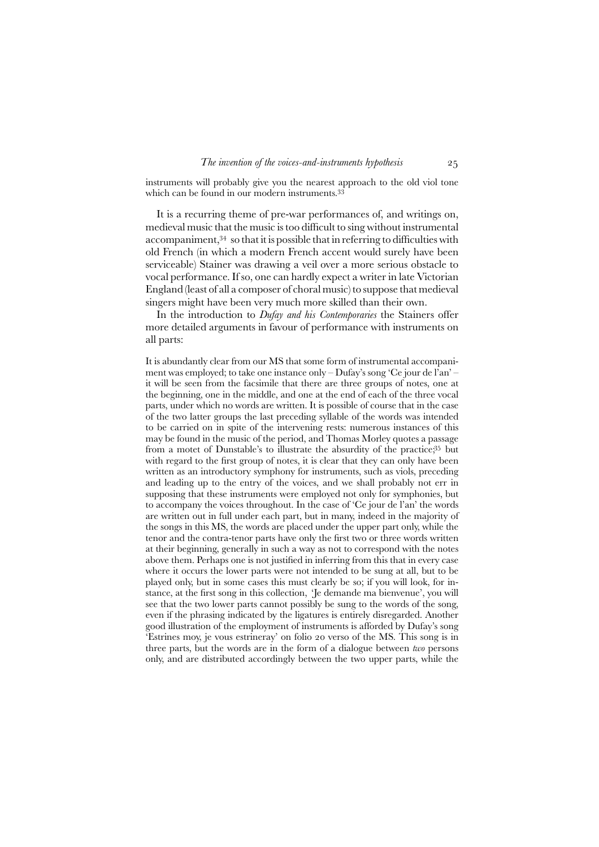instruments will probably give you the nearest approach to the old viol tone which can be found in our modern instruments.<sup>33</sup>

It is a recurring theme of pre-war performances of, and writings on, medieval music that the music is too difficult to sing without instrumental accompaniment, 34 so that it is possible that in referring to difficulties with old French (in which a modern French accent would surely have been serviceable) Stainer was drawing a veil over a more serious obstacle to vocal performance. If so, one can hardly expect a writer in late Victorian England (least of all a composer of choral music) to suppose that medieval singers might have been very much more skilled than their own.

In the introduction to *Dufay and his Contemporaries* the Stainers offer more detailed arguments in favour of performance with instruments on all parts:

It is abundantly clear from our MS that some form of instrumental accompaniment was employed; to take one instance only – Dufay's song 'Ce jour de l'an' – it will be seen from the facsimile that there are three groups of notes, one at the beginning, one in the middle, and one at the end of each of the three vocal parts, under which no words are written. It is possible of course that in the case of the two latter groups the last preceding syllable of the words was intended to be carried on in spite of the intervening rests: numerous instances of this may be found in the music of the period, and Thomas Morley quotes a passage from a motet of Dunstable's to illustrate the absurdity of the practice;  $35$  but with regard to the first group of notes, it is clear that they can only have been written as an introductory symphony for instruments, such as viols, preceding and leading up to the entry of the voices, and we shall probably not err in supposing that these instruments were employed not only for symphonies, but to accompany the voices throughout. In the case of 'Ce jour de l'an' the words are written out in full under each part, but in many, indeed in the majority of the songs in this MS, the words are placed under the upper part only, while the tenor and the contra-tenor parts have only the first two or three words written at their beginning, generally in such a way as not to correspond with the notes above them. Perhaps one is not justified in inferring from this that in every case where it occurs the lower parts were not intended to be sung at all, but to be played only, but in some cases this must clearly be so; if you will look, for instance, at the first song in this collection, 'Je demande ma bienvenue', you will see that the two lower parts cannot possibly be sung to the words of the song, even if the phrasing indicated by the ligatures is entirely disregarded. Another good illustration of the employment of instruments is afforded by Dufay's song 'Estrines moy, je vous estrineray' on folio verso of the MS. This song is in three parts, but the words are in the form of a dialogue between *two* persons only, and are distributed accordingly between the two upper parts, while the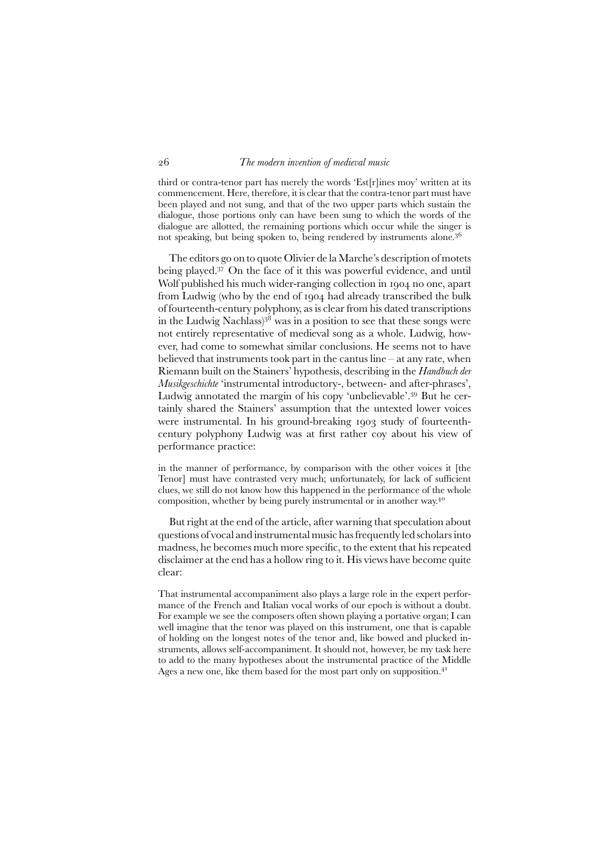#### *The modern invention of medieval music*

third or contra-tenor part has merely the words 'Est[r]ines moy' written at its commencement. Here, therefore, it is clear that the contra-tenor part must have been played and not sung, and that of the two upper parts which sustain the dialogue, those portions only can have been sung to which the words of the dialogue are allotted, the remaining portions which occur while the singer is not speaking, but being spoken to, being rendered by instruments alone.<sup>36</sup>

The editors go on to quote Olivier de la Marche's description of motets being played.<sup>37</sup> On the face of it this was powerful evidence, and until Wolf published his much wider-ranging collection in 1904 no one, apart from Ludwig (who by the end of had already transcribed the bulk of fourteenth-century polyphony, as is clear from his dated transcriptions in the Ludwig Nachlass) $3^8$  was in a position to see that these songs were not entirely representative of medieval song as a whole. Ludwig, however, had come to somewhat similar conclusions. He seems not to have believed that instruments took part in the cantus line – at any rate, when Riemann built on the Stainers' hypothesis, describing in the *Handbuch der Musikgeschichte* 'instrumental introductory-, between- and after-phrases', Ludwig annotated the margin of his copy 'unbelievable'.<sup>39</sup> But he certainly shared the Stainers' assumption that the untexted lower voices were instrumental. In his ground-breaking 1903 study of fourteenthcentury polyphony Ludwig was at first rather coy about his view of performance practice:

in the manner of performance, by comparison with the other voices it [the Tenor] must have contrasted very much; unfortunately, for lack of sufficient clues, we still do not know how this happened in the performance of the whole composition, whether by being purely instrumental or in another way.

But right at the end of the article, after warning that speculation about questions of vocal and instrumental music has frequently led scholars into madness, he becomes much more specific, to the extent that his repeated disclaimer at the end has a hollow ring to it. His views have become quite clear:

That instrumental accompaniment also plays a large role in the expert performance of the French and Italian vocal works of our epoch is without a doubt. For example we see the composers often shown playing a portative organ; I can well imagine that the tenor was played on this instrument, one that is capable of holding on the longest notes of the tenor and, like bowed and plucked instruments, allows self-accompaniment. It should not, however, be my task here to add to the many hypotheses about the instrumental practice of the Middle Ages a new one, like them based for the most part only on supposition.<sup>41</sup>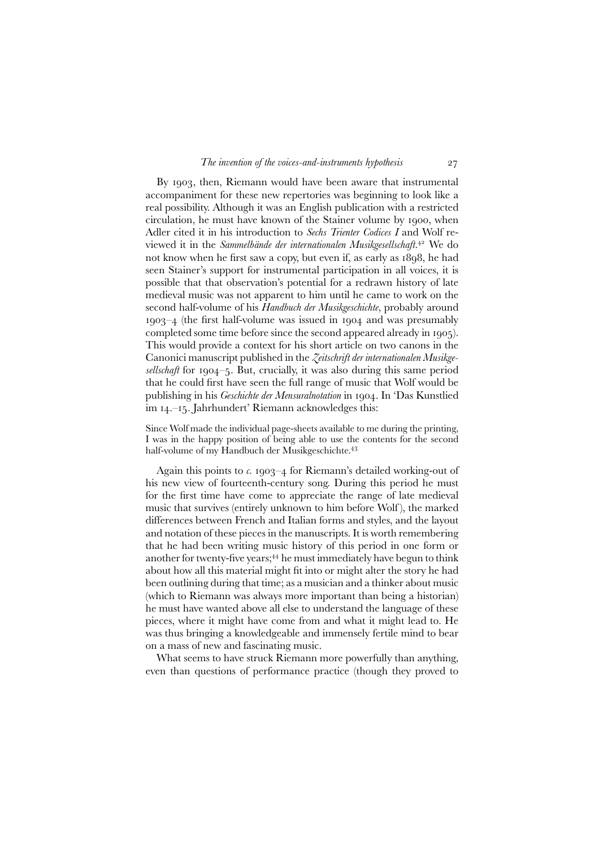By 1903, then, Riemann would have been aware that instrumental accompaniment for these new repertories was beginning to look like a real possibility. Although it was an English publication with a restricted circulation, he must have known of the Stainer volume by 1900, when Adler cited it in his introduction to *Sechs Trienter Codices I* and Wolf reviewed it in the *Sammelbände der internationalen Musikgesellschaft*.<sup>42</sup> We do not know when he first saw a copy, but even if, as early as  $18q8$ , he had seen Stainer's support for instrumental participation in all voices, it is possible that that observation's potential for a redrawn history of late medieval music was not apparent to him until he came to work on the second half-volume of his *Handbuch der Musikgeschichte*, probably around  $1903-4$  (the first half-volume was issued in  $1904$  and was presumably completed some time before since the second appeared already in 1905). This would provide a context for his short article on two canons in the Canonici manuscript published in the *Zeitschrift der internationalen Musikge-* $\mathcal{S}$ *ellschaft* for 1904–5. But, crucially, it was also during this same period that he could first have seen the full range of music that Wolf would be publishing in his *Geschichte der Mensuralnotation* in . In 'Das Kunstlied im 14.–15. Jahrhundert' Riemann acknowledges this:

Since Wolf made the individual page-sheets available to me during the printing, I was in the happy position of being able to use the contents for the second half-volume of my Handbuch der Musikgeschichte.

Again this points to  $\epsilon$ . 1903–4 for Riemann's detailed working-out of his new view of fourteenth-century song. During this period he must for the first time have come to appreciate the range of late medieval music that survives (entirely unknown to him before Wolf ), the marked differences between French and Italian forms and styles, and the layout and notation of these pieces in the manuscripts. It is worth remembering that he had been writing music history of this period in one form or another for twenty-five years;<sup>44</sup> he must immediately have begun to think about how all this material might fit into or might alter the story he had been outlining during that time; as a musician and a thinker about music (which to Riemann was always more important than being a historian) he must have wanted above all else to understand the language of these pieces, where it might have come from and what it might lead to. He was thus bringing a knowledgeable and immensely fertile mind to bear on a mass of new and fascinating music.

What seems to have struck Riemann more powerfully than anything, even than questions of performance practice (though they proved to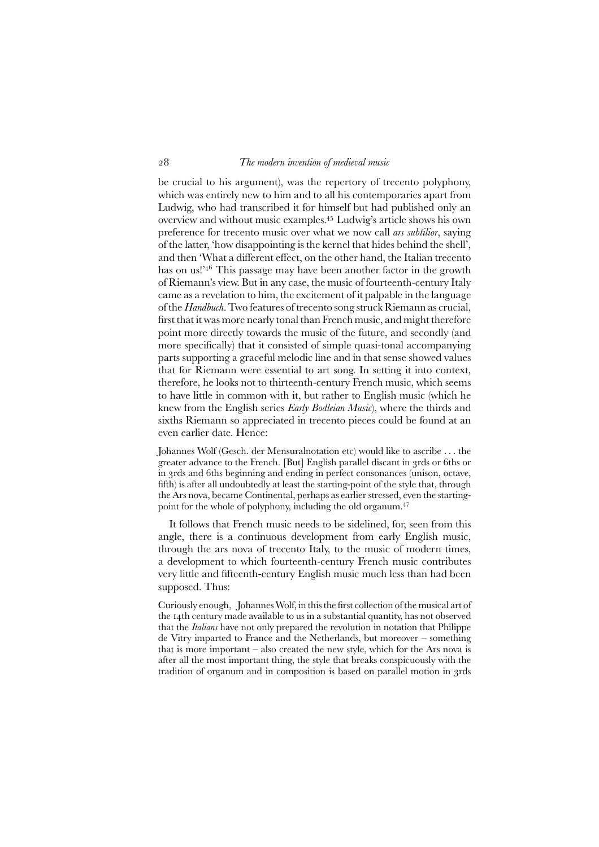#### *The modern invention of medieval music*

be crucial to his argument), was the repertory of trecento polyphony, which was entirely new to him and to all his contemporaries apart from Ludwig, who had transcribed it for himself but had published only an overview and without music examples.<sup>45</sup> Ludwig's article shows his own preference for trecento music over what we now call *ars subtilior*, saying of the latter, 'how disappointing is the kernel that hides behind the shell', and then 'What a different effect, on the other hand, the Italian trecento has on us!'<sup>46</sup> This passage may have been another factor in the growth of Riemann's view. But in any case, the music of fourteenth-century Italy came as a revelation to him, the excitement of it palpable in the language of the *Handbuch*. Two features of trecento song struck Riemann as crucial, first that it was more nearly tonal than French music, and might therefore point more directly towards the music of the future, and secondly (and more specifically) that it consisted of simple quasi-tonal accompanying parts supporting a graceful melodic line and in that sense showed values that for Riemann were essential to art song. In setting it into context, therefore, he looks not to thirteenth-century French music, which seems to have little in common with it, but rather to English music (which he knew from the English series *Early Bodleian Music*), where the thirds and sixths Riemann so appreciated in trecento pieces could be found at an even earlier date. Hence:

Johannes Wolf (Gesch. der Mensuralnotation etc) would like to ascribe ... the greater advance to the French. [But] English parallel discant in 3rds or 6ths or in grds and 6ths beginning and ending in perfect consonances (unison, octave, fifth) is after all undoubtedly at least the starting-point of the style that, through the Ars nova, became Continental, perhaps as earlier stressed, even the startingpoint for the whole of polyphony, including the old organum.<sup>47</sup>

It follows that French music needs to be sidelined, for, seen from this angle, there is a continuous development from early English music, through the ars nova of trecento Italy, to the music of modern times, a development to which fourteenth-century French music contributes very little and fifteenth-century English music much less than had been supposed. Thus:

Curiously enough, Johannes Wolf, in this the first collection of the musical art of the  $14$ th century made available to us in a substantial quantity, has not observed that the *Italians* have not only prepared the revolution in notation that Philippe de Vitry imparted to France and the Netherlands, but moreover – something that is more important – also created the new style, which for the Ars nova is after all the most important thing, the style that breaks conspicuously with the tradition of organum and in composition is based on parallel motion in 3rds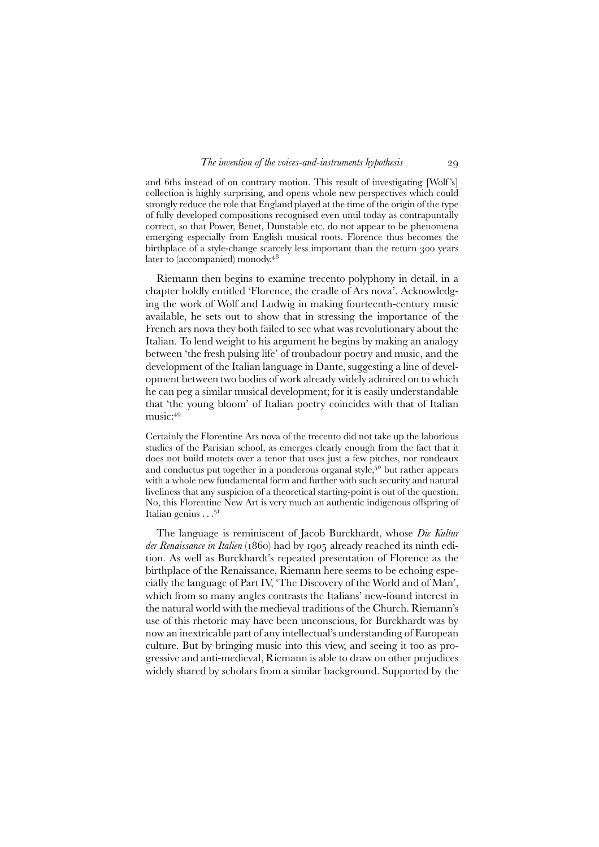and 6ths instead of on contrary motion. This result of investigating [Wolf's] collection is highly surprising, and opens whole new perspectives which could strongly reduce the role that England played at the time of the origin of the type of fully developed compositions recognised even until today as contrapuntally correct, so that Power, Benet, Dunstable etc. do not appear to be phenomena emerging especially from English musical roots. Florence thus becomes the birthplace of a style-change scarcely less important than the return 300 years later to (accompanied) monody.<sup>48</sup>

Riemann then begins to examine trecento polyphony in detail, in a chapter boldly entitled 'Florence, the cradle of Ars nova'. Acknowledging the work of Wolf and Ludwig in making fourteenth-century music available, he sets out to show that in stressing the importance of the French ars nova they both failed to see what was revolutionary about the Italian. To lend weight to his argument he begins by making an analogy between 'the fresh pulsing life' of troubadour poetry and music, and the development of the Italian language in Dante, suggesting a line of development between two bodies of work already widely admired on to which he can peg a similar musical development; for it is easily understandable that 'the young bloom' of Italian poetry coincides with that of Italian music:49

Certainly the Florentine Ars nova of the trecento did not take up the laborious studies of the Parisian school, as emerges clearly enough from the fact that it does not build motets over a tenor that uses just a few pitches, nor rondeaux and conductus put together in a ponderous organal style,<sup>50</sup> but rather appears with a whole new fundamental form and further with such security and natural liveliness that any suspicion of a theoretical starting-point is out of the question. No, this Florentine New Art is very much an authentic indigenous offspring of Italian genius  $\ldots$ <sup>51</sup>

The language is reminiscent of Jacob Burckhardt, whose *Die Kultur der Renaissance in Italien* (1860) had by 1905 already reached its ninth edition. As well as Burckhardt's repeated presentation of Florence as the birthplace of the Renaissance, Riemann here seems to be echoing especially the language of Part IV, 'The Discovery of the World and of Man', which from so many angles contrasts the Italians' new-found interest in the natural world with the medieval traditions of the Church. Riemann's use of this rhetoric may have been unconscious, for Burckhardt was by now an inextricable part of any intellectual's understanding of European culture. But by bringing music into this view, and seeing it too as progressive and anti-medieval, Riemann is able to draw on other prejudices widely shared by scholars from a similar background. Supported by the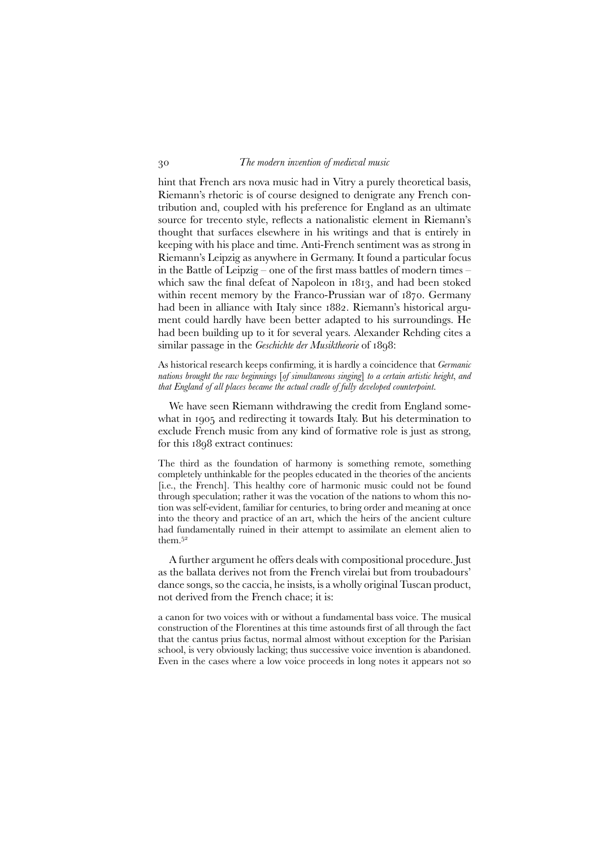hint that French ars nova music had in Vitry a purely theoretical basis, Riemann's rhetoric is of course designed to denigrate any French contribution and, coupled with his preference for England as an ultimate source for trecento style, reflects a nationalistic element in Riemann's thought that surfaces elsewhere in his writings and that is entirely in keeping with his place and time. Anti-French sentiment was as strong in Riemann's Leipzig as anywhere in Germany. It found a particular focus in the Battle of Leipzig – one of the first mass battles of modern times – which saw the final defeat of Napoleon in  $1813$ , and had been stoked within recent memory by the Franco-Prussian war of 1870. Germany had been in alliance with Italy since 1882. Riemann's historical argument could hardly have been better adapted to his surroundings. He had been building up to it for several years. Alexander Rehding cites a similar passage in the *Geschichte der Musiktheorie* of 1898:

As historical research keeps confirming, it is hardly a coincidence that *Germanic nations brought the raw beginnings* [*of simultaneous singing*] *to a certain artistic height*, *and that England of all places became the actual cradle of fully developed counterpoint.*

We have seen Riemann withdrawing the credit from England somewhat in 1905 and redirecting it towards Italy. But his determination to exclude French music from any kind of formative role is just as strong, for this  $18q8$  extract continues:

The third as the foundation of harmony is something remote, something completely unthinkable for the peoples educated in the theories of the ancients [i.e., the French]. This healthy core of harmonic music could not be found through speculation; rather it was the vocation of the nations to whom this notion was self-evident, familiar for centuries, to bring order and meaning at once into the theory and practice of an art, which the heirs of the ancient culture had fundamentally ruined in their attempt to assimilate an element alien to them.<sup>52</sup>

A further argument he offers deals with compositional procedure. Just as the ballata derives not from the French virelai but from troubadours' dance songs, so the caccia, he insists, is a wholly original Tuscan product, not derived from the French chace; it is:

a canon for two voices with or without a fundamental bass voice. The musical construction of the Florentines at this time astounds first of all through the fact that the cantus prius factus, normal almost without exception for the Parisian school, is very obviously lacking; thus successive voice invention is abandoned. Even in the cases where a low voice proceeds in long notes it appears not so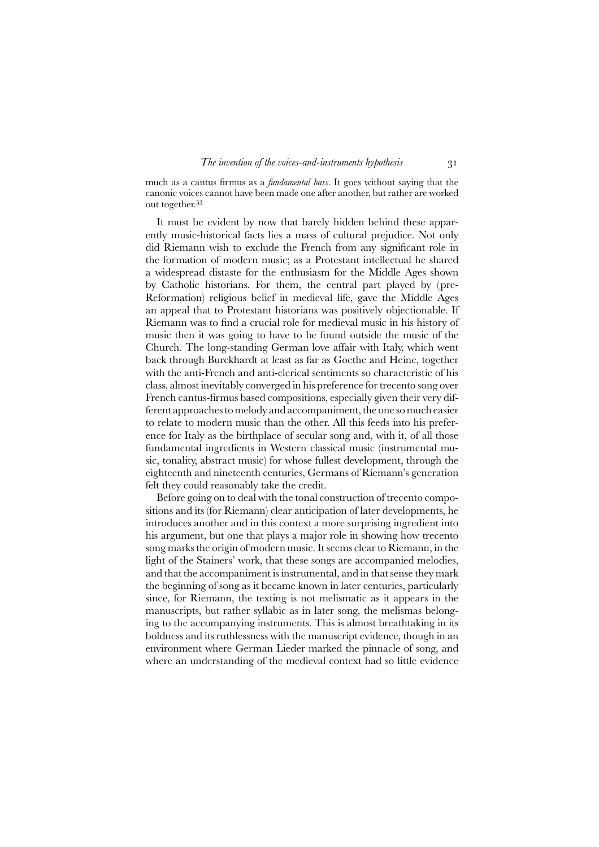much as a cantus firmus as a *fundamental bass*. It goes without saying that the canonic voices cannot have been made one after another, but rather are worked out together.<sup>53</sup>

It must be evident by now that barely hidden behind these apparently music-historical facts lies a mass of cultural prejudice. Not only did Riemann wish to exclude the French from any significant role in the formation of modern music; as a Protestant intellectual he shared a widespread distaste for the enthusiasm for the Middle Ages shown by Catholic historians. For them, the central part played by (pre-Reformation) religious belief in medieval life, gave the Middle Ages an appeal that to Protestant historians was positively objectionable. If Riemann was to find a crucial role for medieval music in his history of music then it was going to have to be found outside the music of the Church. The long-standing German love affair with Italy, which went back through Burckhardt at least as far as Goethe and Heine, together with the anti-French and anti-clerical sentiments so characteristic of his class, almost inevitably converged in his preference for trecento song over French cantus-firmus based compositions, especially given their very different approaches to melody and accompaniment, the one so much easier to relate to modern music than the other. All this feeds into his preference for Italy as the birthplace of secular song and, with it, of all those fundamental ingredients in Western classical music (instrumental music, tonality, abstract music) for whose fullest development, through the eighteenth and nineteenth centuries, Germans of Riemann's generation felt they could reasonably take the credit.

Before going on to deal with the tonal construction of trecento compositions and its (for Riemann) clear anticipation of later developments, he introduces another and in this context a more surprising ingredient into his argument, but one that plays a major role in showing how trecento song marks the origin of modern music. It seems clear to Riemann, in the light of the Stainers' work, that these songs are accompanied melodies, and that the accompaniment is instrumental, and in that sense they mark the beginning of song as it became known in later centuries, particularly since, for Riemann, the texting is not melismatic as it appears in the manuscripts, but rather syllabic as in later song, the melismas belonging to the accompanying instruments. This is almost breathtaking in its boldness and its ruthlessness with the manuscript evidence, though in an environment where German Lieder marked the pinnacle of song, and where an understanding of the medieval context had so little evidence